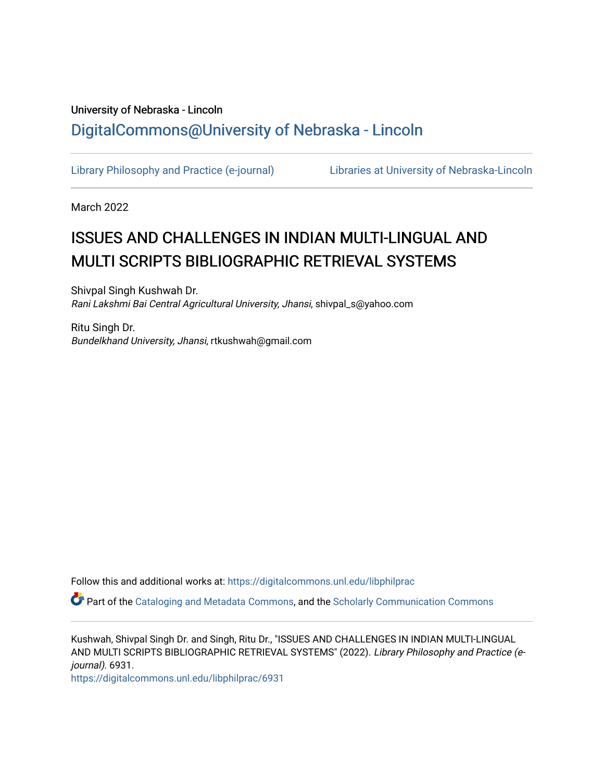# University of Nebraska - Lincoln [DigitalCommons@University of Nebraska - Lincoln](https://digitalcommons.unl.edu/)

[Library Philosophy and Practice \(e-journal\)](https://digitalcommons.unl.edu/libphilprac) [Libraries at University of Nebraska-Lincoln](https://digitalcommons.unl.edu/libraries) 

March 2022

# ISSUES AND CHALLENGES IN INDIAN MULTI-LINGUAL AND MULTI SCRIPTS BIBLIOGRAPHIC RETRIEVAL SYSTEMS

Shivpal Singh Kushwah Dr. Rani Lakshmi Bai Central Agricultural University, Jhansi, shivpal\_s@yahoo.com

Ritu Singh Dr. Bundelkhand University, Jhansi, rtkushwah@gmail.com

Follow this and additional works at: [https://digitalcommons.unl.edu/libphilprac](https://digitalcommons.unl.edu/libphilprac?utm_source=digitalcommons.unl.edu%2Flibphilprac%2F6931&utm_medium=PDF&utm_campaign=PDFCoverPages) 

Part of the [Cataloging and Metadata Commons,](http://network.bepress.com/hgg/discipline/1270?utm_source=digitalcommons.unl.edu%2Flibphilprac%2F6931&utm_medium=PDF&utm_campaign=PDFCoverPages) and the [Scholarly Communication Commons](http://network.bepress.com/hgg/discipline/1272?utm_source=digitalcommons.unl.edu%2Flibphilprac%2F6931&utm_medium=PDF&utm_campaign=PDFCoverPages) 

Kushwah, Shivpal Singh Dr. and Singh, Ritu Dr., "ISSUES AND CHALLENGES IN INDIAN MULTI-LINGUAL AND MULTI SCRIPTS BIBLIOGRAPHIC RETRIEVAL SYSTEMS" (2022). Library Philosophy and Practice (ejournal). 6931.

[https://digitalcommons.unl.edu/libphilprac/6931](https://digitalcommons.unl.edu/libphilprac/6931?utm_source=digitalcommons.unl.edu%2Flibphilprac%2F6931&utm_medium=PDF&utm_campaign=PDFCoverPages)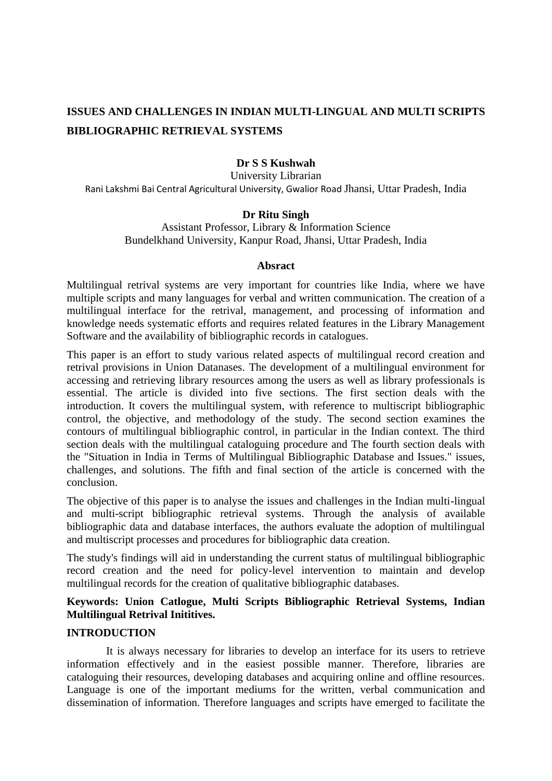# **ISSUES AND CHALLENGES IN INDIAN MULTI-LINGUAL AND MULTI SCRIPTS BIBLIOGRAPHIC RETRIEVAL SYSTEMS**

# **Dr S S Kushwah**

University Librarian Rani Lakshmi Bai Central Agricultural University, Gwalior Road Jhansi, Uttar Pradesh, India

#### **Dr Ritu Singh**

Assistant Professor, Library & Information Science Bundelkhand University, Kanpur Road, Jhansi, Uttar Pradesh, India

#### **Absract**

Multilingual retrival systems are very important for countries like India, where we have multiple scripts and many languages for verbal and written communication. The creation of a multilingual interface for the retrival, management, and processing of information and knowledge needs systematic efforts and requires related features in the Library Management Software and the availability of bibliographic records in catalogues.

This paper is an effort to study various related aspects of multilingual record creation and retrival provisions in Union Datanases. The development of a multilingual environment for accessing and retrieving library resources among the users as well as library professionals is essential. The article is divided into five sections. The first section deals with the introduction. It covers the multilingual system, with reference to multiscript bibliographic control, the objective, and methodology of the study. The second section examines the contours of multilingual bibliographic control, in particular in the Indian context. The third section deals with the multilingual cataloguing procedure and The fourth section deals with the "Situation in India in Terms of Multilingual Bibliographic Database and Issues." issues, challenges, and solutions. The fifth and final section of the article is concerned with the conclusion.

The objective of this paper is to analyse the issues and challenges in the Indian multi-lingual and multi-script bibliographic retrieval systems. Through the analysis of available bibliographic data and database interfaces, the authors evaluate the adoption of multilingual and multiscript processes and procedures for bibliographic data creation.

The study's findings will aid in understanding the current status of multilingual bibliographic record creation and the need for policy-level intervention to maintain and develop multilingual records for the creation of qualitative bibliographic databases.

## **Keywords: Union Catlogue, Multi Scripts Bibliographic Retrieval Systems, Indian Multilingual Retrival Inititives.**

#### **INTRODUCTION**

It is always necessary for libraries to develop an interface for its users to retrieve information effectively and in the easiest possible manner. Therefore, libraries are cataloguing their resources, developing databases and acquiring online and offline resources. Language is one of the important mediums for the written, verbal communication and dissemination of information. Therefore languages and scripts have emerged to facilitate the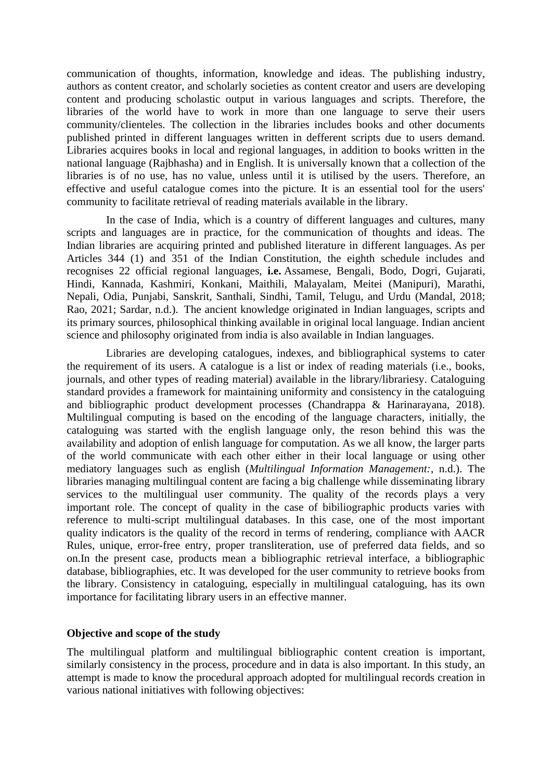communication of thoughts, information, knowledge and ideas. The publishing industry, authors as content creator, and scholarly societies as content creator and users are developing content and producing scholastic output in various languages and scripts. Therefore, the libraries of the world have to work in more than one language to serve their users community/clienteles. The collection in the libraries includes books and other documents published printed in different languages written in defferent scripts due to users demand. Libraries acquires books in local and regional languages, in addition to books written in the national language (Rajbhasha) and in English. It is universally known that a collection of the libraries is of no use, has no value, unless until it is utilised by the users. Therefore, an effective and useful catalogue comes into the picture. It is an essential tool for the users' community to facilitate retrieval of reading materials available in the library.

In the case of India, which is a country of different languages and cultures, many scripts and languages are in practice, for the communication of thoughts and ideas. The Indian libraries are acquiring printed and published literature in different languages. As per Articles 344 (1) and 351 of the Indian Constitution, the eighth schedule includes and recognises 22 official regional languages, **i.e.** Assamese, Bengali, Bodo, Dogri, Gujarati, Hindi, Kannada, Kashmiri, Konkani, Maithili, Malayalam, Meitei (Manipuri), Marathi, Nepali, Odia, Punjabi, Sanskrit, Santhali, Sindhi, Tamil, Telugu, and Urdu (Mandal, 2018; Rao, 2021; Sardar, n.d.). The ancient knowledge originated in Indian languages, scripts and its primary sources, philosophical thinking available in original local language. Indian ancient science and philosophy originated from india is also available in Indian languages.

Libraries are developing catalogues, indexes, and bibliographical systems to cater the requirement of its users. A catalogue is a list or index of reading materials (i.e., books, journals, and other types of reading material) available in the library/librariesy. Cataloguing standard provides a framework for maintaining uniformity and consistency in the cataloguing and bibliographic product development processes (Chandrappa & Harinarayana, 2018). Multilingual computing is based on the encoding of the language characters, initially, the cataloguing was started with the english language only, the reson behind this was the availability and adoption of enlish language for computation. As we all know, the larger parts of the world communicate with each other either in their local language or using other mediatory languages such as english (*Multilingual Information Management:*, n.d.). The libraries managing multilingual content are facing a big challenge while disseminating library services to the multilingual user community. The quality of the records plays a very important role. The concept of quality in the case of bibiliographic products varies with reference to multi-script multilingual databases. In this case, one of the most important quality indicators is the quality of the record in terms of rendering, compliance with AACR Rules, unique, error-free entry, proper transliteration, use of preferred data fields, and so on.In the present case, products mean a bibliographic retrieval interface, a bibliographic database, bibliographies, etc. It was developed for the user community to retrieve books from the library. Consistency in cataloguing, especially in multilingual cataloguing, has its own importance for facilitating library users in an effective manner.

#### **Objective and scope of the study**

The multilingual platform and multilingual bibliographic content creation is important, similarly consistency in the process, procedure and in data is also important. In this study, an attempt is made to know the procedural approach adopted for multilingual records creation in various national initiatives with following objectives: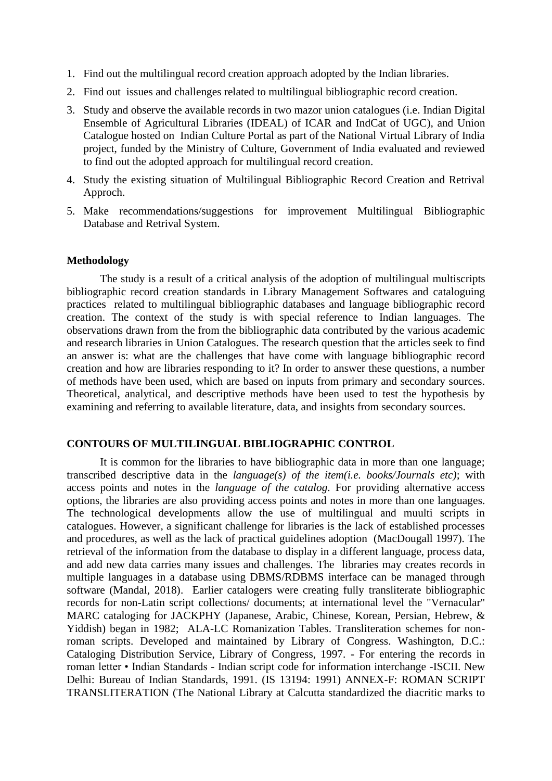- 1. Find out the multilingual record creation approach adopted by the Indian libraries.
- 2. Find out issues and challenges related to multilingual bibliographic record creation.
- 3. Study and observe the available records in two mazor union catalogues (i.e. Indian Digital Ensemble of Agricultural Libraries (IDEAL) of ICAR and IndCat of UGC), and Union Catalogue hosted on Indian Culture Portal as part of the National Virtual Library of India project, funded by the Ministry of Culture, Government of India evaluated and reviewed to find out the adopted approach for multilingual record creation.
- 4. Study the existing situation of Multilingual Bibliographic Record Creation and Retrival Approch.
- 5. Make recommendations/suggestions for improvement Multilingual Bibliographic Database and Retrival System.

#### **Methodology**

The study is a result of a critical analysis of the adoption of multilingual multiscripts bibliographic record creation standards in Library Management Softwares and cataloguing practices related to multilingual bibliographic databases and language bibliographic record creation. The context of the study is with special reference to Indian languages. The observations drawn from the from the bibliographic data contributed by the various academic and research libraries in Union Catalogues. The research question that the articles seek to find an answer is: what are the challenges that have come with language bibliographic record creation and how are libraries responding to it? In order to answer these questions, a number of methods have been used, which are based on inputs from primary and secondary sources. Theoretical, analytical, and descriptive methods have been used to test the hypothesis by examining and referring to available literature, data, and insights from secondary sources.

#### **CONTOURS OF MULTILINGUAL BIBLIOGRAPHIC CONTROL**

It is common for the libraries to have bibliographic data in more than one language; transcribed descriptive data in the *language(s) of the item(i.e. books/Journals etc)*; with access points and notes in the *language of the catalog.* For providing alternative access options, the libraries are also providing access points and notes in more than one languages. The technological developments allow the use of multilingual and muulti scripts in catalogues. However, a significant challenge for libraries is the lack of established processes and procedures, as well as the lack of practical guidelines adoption (MacDougall 1997). The retrieval of the information from the database to display in a different language, process data, and add new data carries many issues and challenges. The libraries may creates records in multiple languages in a database using DBMS/RDBMS interface can be managed through software (Mandal, 2018). Earlier catalogers were creating fully transliterate bibliographic records for non-Latin script collections/ documents; at international level the "Vernacular" MARC cataloging for JACKPHY (Japanese, Arabic, Chinese, Korean, Persian, Hebrew, & Yiddish) began in 1982; ALA-LC Romanization Tables. Transliteration schemes for nonroman scripts. Developed and maintained by Library of Congress. Washington, D.C.: Cataloging Distribution Service, Library of Congress, 1997. - For entering the records in roman letter • Indian Standards - Indian script code for information interchange -ISCII. New Delhi: Bureau of Indian Standards, 1991. (IS 13194: 1991) ANNEX-F: ROMAN SCRIPT TRANSLITERATION (The National Library at Calcutta standardized the diacritic marks to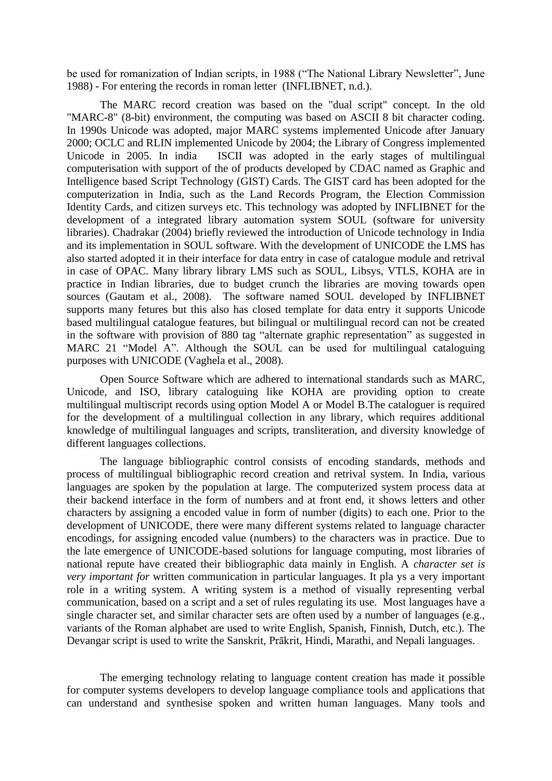be used for romanization of Indian scripts, in 1988 ("The National Library Newsletter", June 1988) - For entering the records in roman letter (INFLIBNET, n.d.).

The MARC record creation was based on the "dual script" concept. In the old "MARC-8" (8-bit) environment, the computing was based on ASCII 8 bit character coding. In 1990s Unicode was adopted, major MARC systems implemented Unicode after January 2000; OCLC and RLIN implemented Unicode by 2004; the Library of Congress implemented Unicode in 2005. In india ISCII was adopted in the early stages of multilingual computerisation with support of the of products developed by CDAC named as Graphic and Intelligence based Script Technology (GIST) Cards. The GIST card has been adopted for the computerization in India, such as the Land Records Program, the Election Commission Identity Cards, and citizen surveys etc. This technology was adopted by INFLIBNET for the development of a integrated library automation system SOUL (software for university libraries). Chadrakar (2004) briefly reviewed the introduction of Unicode technology in India and its implementation in SOUL software. With the development of UNICODE the LMS has also started adopted it in their interface for data entry in case of catalogue module and retrival in case of OPAC. Many library library LMS such as SOUL, Libsys, VTLS, KOHA are in practice in Indian libraries, due to budget crunch the libraries are moving towards open sources (Gautam et al., 2008). The software named SOUL developed by INFLIBNET supports many fetures but this also has closed template for data entry it supports Unicode based multilingual catalogue features, but bilingual or multilingual record can not be created in the software with provision of 880 tag "alternate graphic representation" as suggested in MARC 21 "Model A". Although the SOUL can be used for multilingual cataloguing purposes with UNICODE (Vaghela et al., 2008).

Open Source Software which are adhered to international standards such as MARC, Unicode, and ISO, library cataloguing like KOHA are providing option to create multilingual multiscript records using option Model A or Model B.The cataloguer is required for the development of a multilingual collection in any library, which requires additional knowledge of multilingual languages and scripts, transliteration, and diversity knowledge of different languages collections.

The language bibliographic control consists of encoding standards, methods and process of multilingual bibliographic record creation and retrival system. In India, various languages are spoken by the population at large. The computerized system process data at their backend interface in the form of numbers and at front end, it shows letters and other characters by assigning a encoded value in form of number (digits) to each one. Prior to the development of UNICODE, there were many different systems related to language character encodings, for assigning encoded value (numbers) to the characters was in practice. Due to the late emergence of UNICODE-based solutions for language computing, most libraries of national repute have created their bibliographic data mainly in English. A *character set is very important for* written communication in particular languages. It pla ys a very important role in a writing system. A writing system is a method of visually representing verbal communication, based on a script and a set of rules regulating its use. Most languages have a single character set, and similar character sets are often used by a number of languages (e.g., variants of the Roman alphabet are used to write English, Spanish, Finnish, Dutch, etc.). The Devangar script is used to write the Sanskrit, Prākrit, Hindi, Marathi, and Nepali languages.

The emerging technology relating to language content creation has made it possible for computer systems developers to develop language compliance tools and applications that can understand and synthesise spoken and written human languages. Many tools and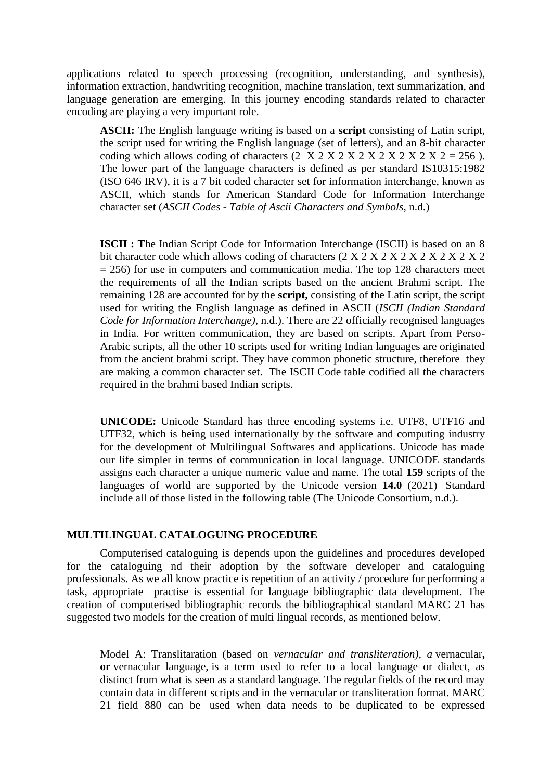applications related to speech processing (recognition, understanding, and synthesis), information extraction, handwriting recognition, machine translation, text summarization, and language generation are emerging. In this journey encoding standards related to character encoding are playing a very important role.

**ASCII:** The English language writing is based on a **script** consisting of Latin script, the script used for writing the English language (set of letters), and an 8-bit character coding which allows coding of characters  $(2 \text{ X } 2 \text{ X } 2 \text{ X } 2 \text{ X } 2 \text{ X } 2 \text{ X } 2 \text{ X } 2 \text{ X } 2 = 256$ ). The lower part of the language characters is defined as per standard IS10315:1982 (ISO 646 IRV), it is a 7 bit coded character set for information interchange, known as ASCII, which stands for American Standard Code for Information Interchange character set (*ASCII Codes - Table of Ascii Characters and Symbols*, n.d.)

**ISCII : T**he Indian Script Code for Information Interchange (ISCII) is based on an 8 bit character code which allows coding of characters (2 X 2 X 2 X 2 X 2 X 2 X 2 X 2 X 2  $= 256$ ) for use in computers and communication media. The top 128 characters meet the requirements of all the Indian scripts based on the ancient Brahmi script. The remaining 128 are accounted for by the **script,** consisting of the Latin script, the script used for writing the English language as defined in ASCII (*ISCII (Indian Standard Code for Information Interchange)*, n.d.). There are 22 officially recognised languages in India. For written communication, they are based on scripts. Apart from Perso-Arabic scripts, all the other 10 scripts used for writing Indian languages are originated from the ancient brahmi script. They have common phonetic structure, therefore they are making a common character set. The ISCII Code table codified all the characters required in the brahmi based Indian scripts.

**UNICODE:** Unicode Standard has three encoding systems i.e. UTF8, UTF16 and UTF32, which is being used internationally by the software and computing industry for the development of Multilingual Softwares and applications. Unicode has made our life simpler in terms of communication in local language. UNICODE standards assigns each character a unique numeric value and name. The total **159** scripts of the languages of world are supported by the Unicode version **14.0** (2021) Standard include all of those listed in the following table (The Unicode Consortium, n.d.).

#### **MULTILINGUAL CATALOGUING PROCEDURE**

Computerised cataloguing is depends upon the guidelines and procedures developed for the cataloguing nd their adoption by the software developer and cataloguing professionals. As we all know practice is repetition of an activity / procedure for performing a task, appropriate practise is essential for language bibliographic data development. The creation of computerised bibliographic records the bibliographical standard MARC 21 has suggested two models for the creation of multi lingual records, as mentioned below.

Model A: Translitaration (based on *vernacular and transliteration), a* vernacular**, or** vernacular language, is a term used to refer to a local language or dialect, as distinct from what is seen as a standard language. The regular fields of the record may contain data in different scripts and in the vernacular or transliteration format. MARC 21 field 880 can be used when data needs to be duplicated to be expressed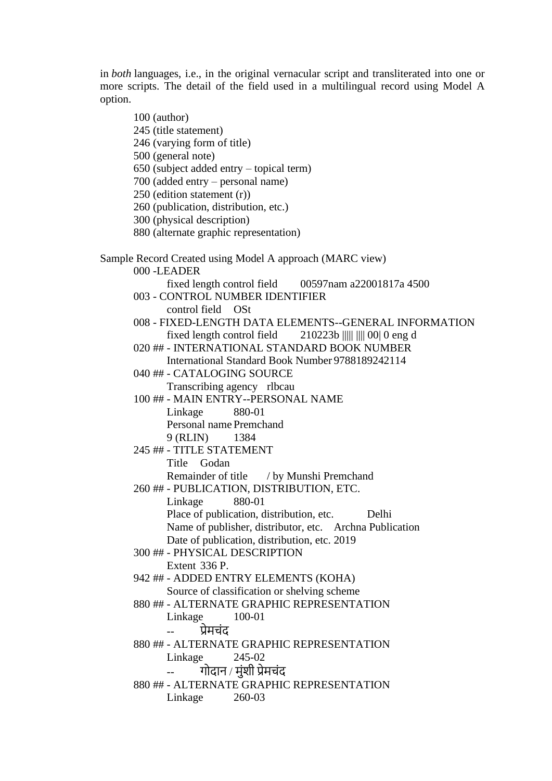in *both* languages, i.e., in the original vernacular script and transliterated into one or more scripts. The detail of the field used in a multilingual record using Model A option.

100 (author) 245 (title statement) 246 (varying form of title) 500 (general note) 650 (subject added entry – topical term) 700 (added entry – personal name) 250 (edition statement (r)) 260 (publication, distribution, etc.) 300 (physical description) 880 (alternate graphic representation) Sample Record Created using Model A approach (MARC view) 000 -LEADER fixed length control field 00597nam a22001817a 4500 003 - CONTROL NUMBER IDENTIFIER control field OSt 008 - FIXED-LENGTH DATA ELEMENTS--GENERAL INFORMATION fixed length control field 210223b ||||| |||| 00| 0 eng d 020 ## - INTERNATIONAL STANDARD BOOK NUMBER International Standard Book Number 9788189242114 040 ## - CATALOGING SOURCE Transcribing agency rlbcau 100 ## - MAIN ENTRY--PERSONAL NAME Linkage 880-01 Personal name Premchand 9 (RLIN) 1384 245 ## - TITLE STATEMENT Title Godan Remainder of title / by Munshi Premchand 260 ## - PUBLICATION, DISTRIBUTION, ETC. Linkage 880-01 Place of publication, distribution, etc. Delhi Name of publisher, distributor, etc. Archna Publication Date of publication, distribution, etc. 2019 300 ## - PHYSICAL DESCRIPTION Extent 336 P. 942 ## - ADDED ENTRY ELEMENTS (KOHA) Source of classification or shelving scheme 880 ## - ALTERNATE GRAPHIC REPRESENTATION Linkage 100-01 -- प्रेमचंद 880 ## - ALTERNATE GRAPHIC REPRESENTATION Linkage 245-02 -- गोदान / मंशी प्रेमचंद 880 ## - ALTERNATE GRAPHIC REPRESENTATION Linkage 260-03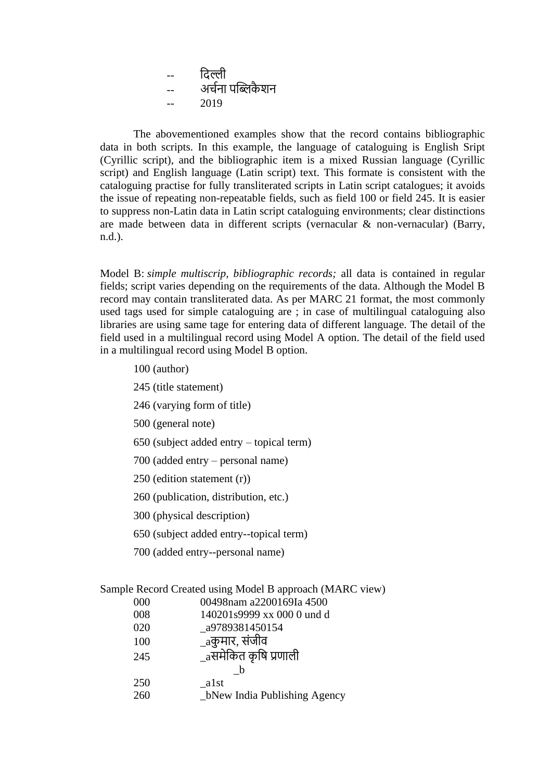-- ददल्ली -- अचचना पब्लिकै शन 2019

The abovementioned examples show that the record contains bibliographic data in both scripts. In this example, the language of cataloguing is English Sript (Cyrillic script), and the bibliographic item is a mixed Russian language (Cyrillic script) and English language (Latin script) text. This formate is consistent with the cataloguing practise for fully transliterated scripts in Latin script catalogues; it avoids the issue of repeating non-repeatable fields, such as field 100 or field 245. It is easier to suppress non-Latin data in Latin script cataloguing environments; clear distinctions are made between data in different scripts (vernacular & non-vernacular) (Barry, n.d.).

Model B: *simple multiscrip, bibliographic records;* all data is contained in regular fields; script varies depending on the requirements of the data. Although the Model B record may contain transliterated data. As per MARC 21 format, the most commonly used tags used for simple cataloguing are ; in case of multilingual cataloguing also libraries are using same tage for entering data of different language. The detail of the field used in a multilingual record using Model A option. The detail of the field used in a multilingual record using Model B option.

- 100 (author)
- 245 (title statement)
- 246 (varying form of title)
- 500 (general note)
- 650 (subject added entry topical term)
- 700 (added entry personal name)
- 250 (edition statement (r))
- 260 (publication, distribution, etc.)
- 300 (physical description)
- 650 (subject added entry--topical term)
- 700 (added entry--personal name)

| 000 | 00498nam a2200169Ia 4500       |
|-----|--------------------------------|
| 008 | 140201s9999 xx 000 0 und d     |
| 020 | a9789381450154                 |
| 100 | _aकुमार, संजीव                 |
| 245 | $_{\rm a}$ समेकित कृषि प्रणाली |
|     | b                              |
| 250 | alst                           |
| 260 | _bNew India Publishing Agency  |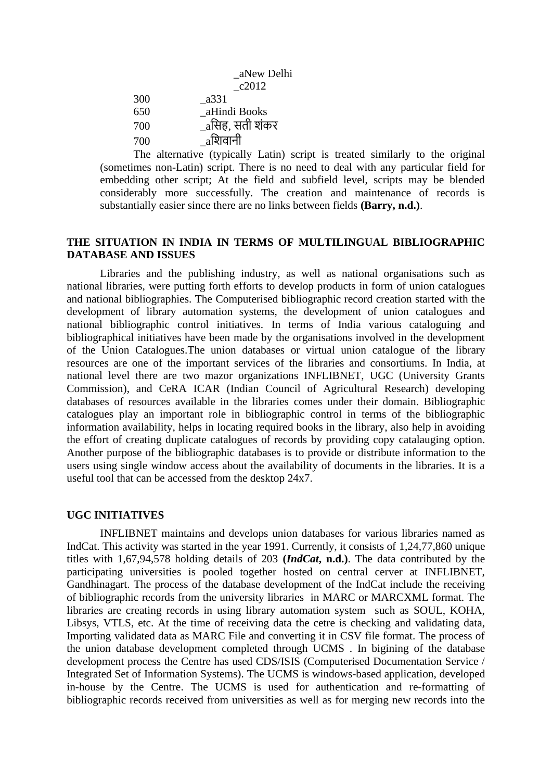|     | aNew Delhi      |
|-----|-----------------|
|     | $\lfloor$ c2012 |
| 300 | a331            |
| 650 | aHindi Books    |
| 700 | _aसिह, सती शंकर |
| 700 | aशिवानी         |

The alternative (typically Latin) script is treated similarly to the original (sometimes non-Latin) script. There is no need to deal with any particular field for embedding other script; At the field and subfield level, scripts may be blended considerably more successfully. The creation and maintenance of records is substantially easier since there are no links between fields **(Barry, n.d.)**.

#### **THE SITUATION IN INDIA IN TERMS OF MULTILINGUAL BIBLIOGRAPHIC DATABASE AND ISSUES**

Libraries and the publishing industry, as well as national organisations such as national libraries, were putting forth efforts to develop products in form of union catalogues and national bibliographies. The Computerised bibliographic record creation started with the development of library automation systems, the development of union catalogues and national bibliographic control initiatives. In terms of India various cataloguing and bibliographical initiatives have been made by the organisations involved in the development of the Union Catalogues.The union databases or virtual union catalogue of the library resources are one of the important services of the libraries and consortiums. In India, at national level there are two mazor organizations INFLIBNET, UGC (University Grants Commission), and CeRA ICAR (Indian Council of Agricultural Research) developing databases of resources available in the libraries comes under their domain. Bibliographic catalogues play an important role in bibliographic control in terms of the bibliographic information availability, helps in locating required books in the library, also help in avoiding the effort of creating duplicate catalogues of records by providing copy catalauging option. Another purpose of the bibliographic databases is to provide or distribute information to the users using single window access about the availability of documents in the libraries. It is a useful tool that can be accessed from the desktop 24x7.

#### **UGC INITIATIVES**

INFLIBNET maintains and develops union databases for various libraries named as IndCat. This activity was started in the year 1991. Currently, it consists of 1,24,77,860 unique titles with 1,67,94,578 holding details of 203 **(***IndCat***, n.d.)**. The data contributed by the participating universities is pooled together hosted on central cerver at INFLIBNET, Gandhinagart. The process of the database development of the IndCat include the receiving of bibliographic records from the university libraries in MARC or MARCXML format. The libraries are creating records in using library automation system such as SOUL, KOHA, Libsys, VTLS, etc. At the time of receiving data the cetre is checking and validating data, Importing validated data as MARC File and converting it in CSV file format. The process of the union database development completed through UCMS . In bigining of the database development process the Centre has used CDS/ISIS (Computerised Documentation Service / Integrated Set of Information Systems). The UCMS is windows-based application, developed in-house by the Centre. The UCMS is used for authentication and re-formatting of bibliographic records received from universities as well as for merging new records into the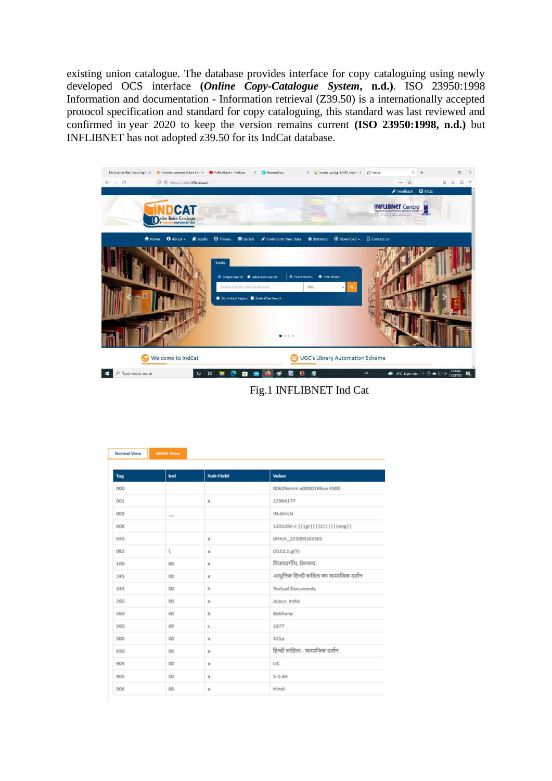existing union catalogue. The database provides interface for copy cataloguing using newly developed OCS interface **(***Online Copy-Catalogue System***, n.d.)**. ISO 23950:1998 Information and documentation - Information retrieval (Z39.50) is a internationally accepted protocol specification and standard for copy cataloguing, this standard was last reviewed and confirmed in year 2020 to keep the version remains current **(ISO 23950:1998, n.d.)** but INFLIBNET has not adopted z39.50 for its IndCat database.



Fig.1 INFLIBNET Ind Cat

| <b>Normal View</b> | <b>MARC View</b> |           |                                      |
|--------------------|------------------|-----------|--------------------------------------|
| Tag                | Ind              | Sub-Field | <b>Value</b>                         |
| 000                |                  |           | 00629amm a0000169ua 4500             |
| 001                |                  | a         | 12904177                             |
| 003                |                  |           | IN-AhILN                             |
| 008                |                  |           |                                      |
| 035                |                  | a         | (BHUL_221005)33301                   |
| 082                | N                | a         | O152,1:g(Y)                          |
| 100                | 00               | a         | विजयवर्गीय, प्रेमचन्द                |
| 245                | 00               | a         | आधुनिक हिन्दी कविता का सामाजिक दर्शन |
| 245                | 00               | h         | <b>Textual Documents</b>             |
| 260                | 00               | a         | Jaipur, India                        |
| 260                | 00               | ь         | Babhana                              |
| 260                | 00               | c         | 1977                                 |
| 300                | 00               | a         | 421 <sub>p</sub>                     |
| 650                | 00               | a         | हिन्दी साहित्य - सामाजिक दर्शन       |
| 904                | OO               | a         | UC                                   |
| 905                | 00               | a         | $5 - 1 - 84$                         |
| 906                | <b>OO</b>        | a         | Hindi                                |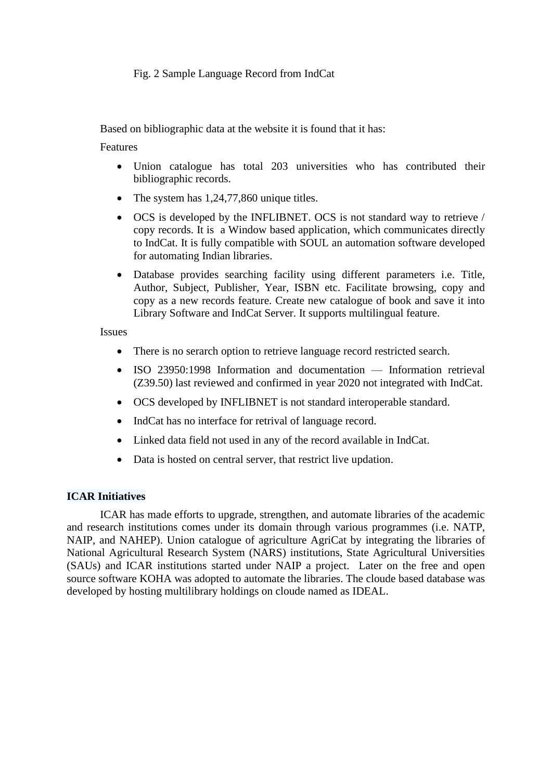## Fig. 2 Sample Language Record from IndCat

Based on bibliographic data at the website it is found that it has:

Features

- Union catalogue has total 203 universities who has contributed their bibliographic records.
- The system has 1,24,77,860 unique titles.
- OCS is developed by the INFLIBNET. OCS is not standard way to retrieve / copy records. It is a Window based application, which communicates directly to IndCat. It is fully compatible with SOUL an automation software developed for automating Indian libraries.
- Database provides searching facility using different parameters i.e. Title, Author, Subject, Publisher, Year, ISBN etc. Facilitate browsing, copy and copy as a new records feature. Create new catalogue of book and save it into Library Software and IndCat Server. It supports multilingual feature.

Issues

- There is no serarch option to retrieve language record restricted search.
- ISO 23950:1998 Information and documentation Information retrieval (Z39.50) last reviewed and confirmed in year 2020 not integrated with IndCat.
- OCS developed by INFLIBNET is not standard interoperable standard.
- IndCat has no interface for retrival of language record.
- Linked data field not used in any of the record available in IndCat.
- Data is hosted on central server, that restrict live updation.

## **ICAR Initiatives**

ICAR has made efforts to upgrade, strengthen, and automate libraries of the academic and research institutions comes under its domain through various programmes (i.e. NATP, NAIP, and NAHEP). Union catalogue of agriculture AgriCat by integrating the libraries of National Agricultural Research System (NARS) institutions, State Agricultural Universities (SAUs) and ICAR institutions started under NAIP a project. Later on the free and open source software KOHA was adopted to automate the libraries. The cloude based database was developed by hosting multilibrary holdings on cloude named as IDEAL.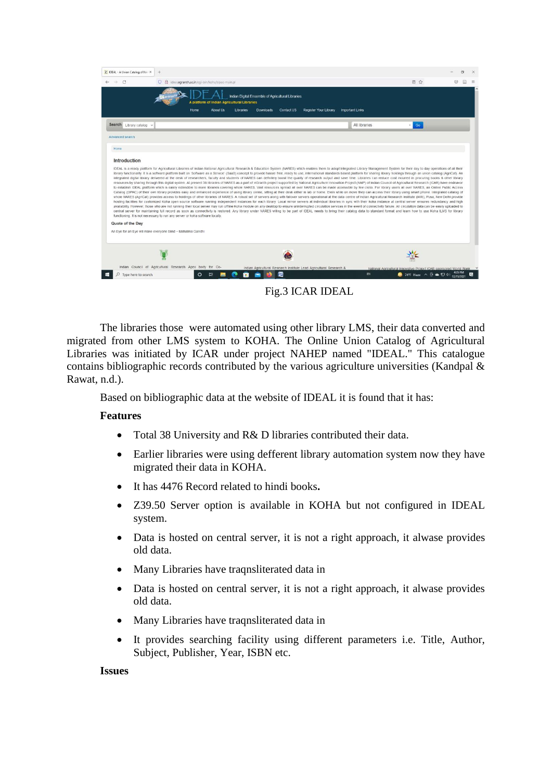

Fig.3 ICAR IDEAL

The libraries those were automated using other library LMS, their data converted and migrated from other LMS system to KOHA. The Online Union Catalog of Agricultural Libraries was initiated by ICAR under project NAHEP named "IDEAL." This catalogue contains bibliographic records contributed by the various agriculture universities (Kandpal & Rawat, n.d.).

Based on bibliographic data at the website of IDEAL it is found that it has:

#### **Features**

- Total 38 University and R& D libraries contributed their data.
- Earlier libraries were using defferent library automation system now they have migrated their data in KOHA.
- It has 4476 Record related to hindi books**.**
- Z39.50 Server option is available in KOHA but not configured in IDEAL system.
- Data is hosted on central server, it is not a right approach, it alwase provides old data.
- Many Libraries have traqnsliterated data in
- Data is hosted on central server, it is not a right approach, it alwase provides old data.
- Many Libraries have traqnsliterated data in
- It provides searching facility using different parameters i.e. Title, Author, Subject, Publisher, Year, ISBN etc.

#### **Issues**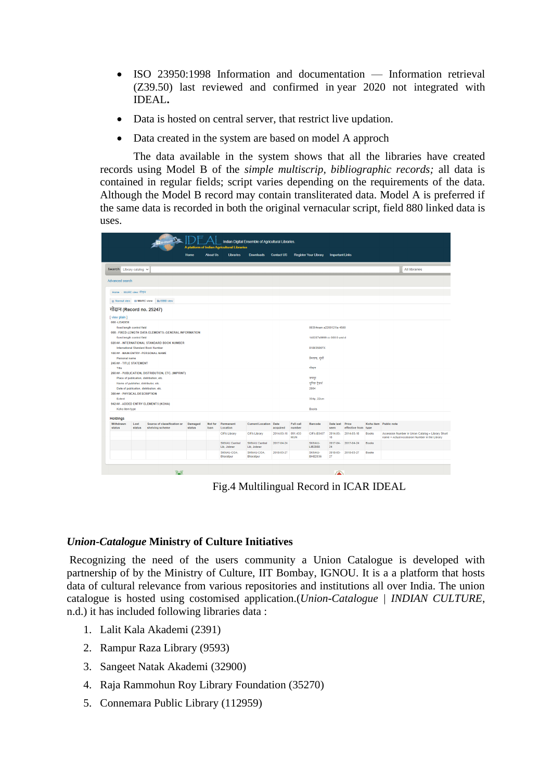- ISO 23950:1998 Information and documentation Information retrieval (Z39.50) last reviewed and confirmed in year 2020 not integrated with IDEAL**.**
- Data is hosted on central server, that restrict live updation.
- Data created in the system are based on model A approch

The data available in the system shows that all the libraries have created records using Model B of the *simple multiscrip, bibliographic records;* all data is contained in regular fields; script varies depending on the requirements of the data. Although the Model B record may contain transliterated data. Model A is preferred if the same data is recorded in both the original vernacular script, field 880 linked data is uses.

|                                           |                            |                                                                                                |                          |                 | A platform of Indian Agricultural Libraries |                              |                    |                            |                              |                         |                    |              |                       |                                                   |
|-------------------------------------------|----------------------------|------------------------------------------------------------------------------------------------|--------------------------|-----------------|---------------------------------------------|------------------------------|--------------------|----------------------------|------------------------------|-------------------------|--------------------|--------------|-----------------------|---------------------------------------------------|
|                                           |                            |                                                                                                | Home                     | <b>About Us</b> | Libraries                                   | <b>Downloads</b>             | <b>Contact US</b>  |                            | <b>Register Your Library</b> | <b>Important Links</b>  |                    |              |                       |                                                   |
| Search Library catalog v                  |                            |                                                                                                |                          |                 |                                             |                              |                    |                            |                              |                         |                    |              |                       | <b>All libraries</b>                              |
| Advanced search                           |                            |                                                                                                |                          |                 |                                             |                              |                    |                            |                              |                         |                    |              |                       |                                                   |
| Home > MARC view: गोदान                   |                            |                                                                                                |                          |                 |                                             |                              |                    |                            |                              |                         |                    |              |                       |                                                   |
|                                           |                            | □ Normal view □ MARC view □ ISBD view                                                          |                          |                 |                                             |                              |                    |                            |                              |                         |                    |              |                       |                                                   |
| गोदान (Record no. 25247)                  |                            |                                                                                                |                          |                 |                                             |                              |                    |                            |                              |                         |                    |              |                       |                                                   |
| [view plain]<br>000-LEADER                |                            |                                                                                                |                          |                 |                                             |                              |                    |                            |                              |                         |                    |              |                       |                                                   |
|                                           | fixed length control field |                                                                                                |                          |                 |                                             |                              |                    |                            | 00354nam a2200121la 4500     |                         |                    |              |                       |                                                   |
|                                           | fixed length control field | 008 - FIXED-LENGTH DATA ELEMENTS--GENERAL INFORMATION                                          |                          |                 |                                             |                              |                    |                            | 140207s9999 xx 000 0 und d   |                         |                    |              |                       |                                                   |
|                                           |                            | 020 ## - INTERNATIONAL STANDARD BOOK NUMBER<br><b>International Standard Book Number</b>       |                          |                 |                                             |                              |                    |                            | 818035007X                   |                         |                    |              |                       |                                                   |
|                                           |                            | 100 ## - MAIN ENTRY--PERSONAL NAME                                                             |                          |                 |                                             |                              |                    |                            |                              |                         |                    |              |                       |                                                   |
| Personal name<br>245 ## - TITLE STATEMENT |                            |                                                                                                |                          |                 |                                             |                              |                    |                            | प्रेमचन्द, मुंशी             |                         |                    |              |                       |                                                   |
| Title                                     |                            |                                                                                                |                          |                 |                                             |                              |                    |                            | गोवान                        |                         |                    |              |                       |                                                   |
|                                           |                            | 260 ## - PUBLICATION, DISTRIBUTION, ETC. (IMPRINT)<br>Place of publication, distribution, etc. |                          |                 |                                             |                              |                    |                            | जयपुर                        |                         |                    |              |                       |                                                   |
|                                           |                            | Name of publisher, distributor, etc.                                                           |                          |                 |                                             |                              |                    |                            | युनिक टेडर्स                 |                         |                    |              |                       |                                                   |
|                                           |                            | Date of publication, distribution, etc.                                                        |                          |                 |                                             |                              |                    |                            | 2004                         |                         |                    |              |                       |                                                   |
| 300 ## - PHYSICAL DESCRIPTION             |                            |                                                                                                |                          |                 |                                             |                              |                    |                            |                              |                         |                    |              |                       |                                                   |
| Extent                                    |                            | 942 ## - ADDED ENTRY ELEMENTS (KOHA)                                                           |                          |                 |                                             |                              |                    |                            | 334p; 22cm                   |                         |                    |              |                       |                                                   |
| Koha item type                            |                            |                                                                                                |                          |                 |                                             |                              |                    |                            | <b>Books</b>                 |                         |                    |              |                       |                                                   |
|                                           |                            |                                                                                                |                          |                 |                                             |                              |                    |                            |                              |                         |                    |              |                       |                                                   |
| <b>Holdings</b><br>Withdrawn<br>status    | Lost<br>status             | Source of classification or<br>shelving scheme                                                 | Damaged<br><b>status</b> | Not for<br>loan | Permanent<br>Location                       | <b>Current Location</b> Date | acquired           | <b>Full call</b><br>number | Barcode                      | Date last Price<br>seen | effective from     | type         | Koha item Public note |                                                   |
|                                           |                            |                                                                                                |                          |                 | CIFA Library                                | <b>CIFA Library</b>          | 2014-03-18 891.433 |                            | CIFA-B3437                   | 2014-03-                | 2014-03-18         | Books        |                       | Accession Number in Union Catalog = Library Short |
|                                           |                            |                                                                                                |                          |                 | <b>SKNAU Central</b>                        | <b>SKNAU Central</b>         | 2017-04-24         | <b>MUN</b>                 | <b>SKNAU-</b>                | 18                      | 2017-04-2017-04-24 | <b>Books</b> |                       | name + Actual Accession Number in the Library     |
|                                           |                            |                                                                                                |                          |                 | Lib, Jobner<br>SKNAU-COA.                   | Lib, Jobner<br>SKNAU-COA.    | 2018-03-27         |                            | LIB2988<br>SKNAU-            | 24<br>2018-03-          | 2018-03-27         | <b>Books</b> |                       |                                                   |
|                                           |                            |                                                                                                |                          |                 | Bharatpur                                   | <b>Bharatour</b>             |                    |                            | <b>BHB2036</b>               | 27                      |                    |              |                       |                                                   |

Fig.4 Multilingual Record in ICAR IDEAL

#### *Union-Catalogue* **Ministry of Culture Initiatives**

Recognizing the need of the users community a Union Catalogue is developed with partnership of by the Ministry of Culture, IIT Bombay, IGNOU. It is a a platform that hosts data of cultural relevance from various repositories and institutions all over India. The union catalogue is hosted using costomised application.(*Union-Catalogue | INDIAN CULTURE*, n.d.) it has included following libraries data :

- 1. Lalit Kala Akademi (2391)
- 2. Rampur Raza Library (9593)
- 3. Sangeet Natak Akademi (32900)
- 4. Raja Rammohun Roy Library Foundation (35270)
- 5. Connemara Public Library (112959)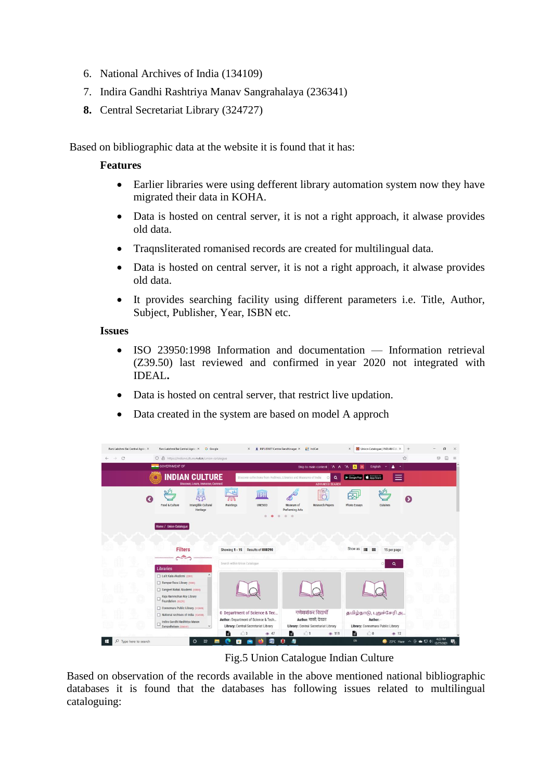- 6. National Archives of India (134109)
- 7. Indira Gandhi Rashtriya Manav Sangrahalaya (236341)
- **8.** Central Secretariat Library (324727)

Based on bibliographic data at the website it is found that it has:

#### **Features**

- Earlier libraries were using defferent library automation system now they have migrated their data in KOHA.
- Data is hosted on central server, it is not a right approach, it alwase provides old data.
- Traqnsliterated romanised records are created for multilingual data.
- Data is hosted on central server, it is not a right approach, it alwase provides old data.
- It provides searching facility using different parameters i.e. Title, Author, Subject, Publisher, Year, ISBN etc.

#### **Issues**

- ISO 23950:1998 Information and documentation Information retrieval (Z39.50) last reviewed and confirmed in year 2020 not integrated with IDEAL**.**
- Data is hosted on central server, that restrict live updation.
- Data created in the system are based on model A approch

| Rani Lakshmi Bai Central Agric: X | Rani Lakshmi Bai Central Agric: X Google                                                                                                                                                                                                                                                                                                            | INFLIBNET Centre Gandhinagar X<br>$\times$                                   | $\frac{1}{2}$ IndCat                                          | Union-Catalogue   INDIAN CUL X<br>$\times$                              | $+$<br>σ                                                                                                |
|-----------------------------------|-----------------------------------------------------------------------------------------------------------------------------------------------------------------------------------------------------------------------------------------------------------------------------------------------------------------------------------------------------|------------------------------------------------------------------------------|---------------------------------------------------------------|-------------------------------------------------------------------------|---------------------------------------------------------------------------------------------------------|
| C<br>$\rightarrow$                | O & https://indianculture.nvli.in/union-catalogue                                                                                                                                                                                                                                                                                                   |                                                                              |                                                               |                                                                         | ☆<br>$\odot$<br>$\Box$<br>$\equiv$                                                                      |
|                                   | <b>SOVERNMENT OF</b>                                                                                                                                                                                                                                                                                                                                |                                                                              | Skip to main content A A *A                                   | A<br><b>English</b><br>IA.<br>$\sim$                                    |                                                                                                         |
|                                   | <b>INDIAN CULTURE</b><br>Discover, Learn, Immerse, Connect                                                                                                                                                                                                                                                                                          | Discover collections from Archives, Libraries and Museums of India           | Q<br>$\circ$<br><b>ADVANCED SEARCH</b>                        | Google Play & App Store                                                 |                                                                                                         |
| æ                                 | $\mathcal{O}_{\mathcal{M}}$<br>Intangible Cultural<br>Food & Culture<br>Heritage                                                                                                                                                                                                                                                                    | <b>THSH</b><br>Paintings<br><b>UNESCO</b>                                    | $\equiv$<br>Museum of<br>Research Papers<br>Performing Arts   | $\overline{v_{ij}}$<br>$\overline{\circ}$ .<br>Photo Essays<br>Cuisines |                                                                                                         |
|                                   |                                                                                                                                                                                                                                                                                                                                                     | O                                                                            | $\circ$                                                       |                                                                         |                                                                                                         |
|                                   | Home / Union-Catalogue                                                                                                                                                                                                                                                                                                                              |                                                                              |                                                               |                                                                         |                                                                                                         |
|                                   |                                                                                                                                                                                                                                                                                                                                                     |                                                                              |                                                               |                                                                         |                                                                                                         |
|                                   | <b>Filters</b>                                                                                                                                                                                                                                                                                                                                      | Showing 1 - 15<br>Results of 888290                                          |                                                               | Show as<br>15 per page                                                  |                                                                                                         |
|                                   | $\begin{picture}(20,20) \put(0,0){\line(1,0){10}} \put(15,0){\line(1,0){10}} \put(15,0){\line(1,0){10}} \put(15,0){\line(1,0){10}} \put(15,0){\line(1,0){10}} \put(15,0){\line(1,0){10}} \put(15,0){\line(1,0){10}} \put(15,0){\line(1,0){10}} \put(15,0){\line(1,0){10}} \put(15,0){\line(1,0){10}} \put(15,0){\line(1,0){10}} \put(15,0){\line(1$ | Search within Union Catalogue                                                |                                                               | $\circ$<br>$\Omega$                                                     |                                                                                                         |
|                                   | <b>Libraries</b>                                                                                                                                                                                                                                                                                                                                    |                                                                              |                                                               |                                                                         |                                                                                                         |
|                                   | Lalit Kala Akademi (2391)                                                                                                                                                                                                                                                                                                                           |                                                                              |                                                               |                                                                         |                                                                                                         |
|                                   | Rampur Raza Library (9593)                                                                                                                                                                                                                                                                                                                          |                                                                              |                                                               |                                                                         |                                                                                                         |
|                                   | Sangeet Natak Akademi (32900)                                                                                                                                                                                                                                                                                                                       |                                                                              |                                                               |                                                                         |                                                                                                         |
|                                   | Raja Rammohun Roy Library<br>Foundation (15270)                                                                                                                                                                                                                                                                                                     |                                                                              |                                                               |                                                                         |                                                                                                         |
|                                   | Connemara Public Library (112959)                                                                                                                                                                                                                                                                                                                   |                                                                              |                                                               |                                                                         |                                                                                                         |
|                                   | National Archives of India (134109)                                                                                                                                                                                                                                                                                                                 | 0 Department of Science & Tec                                                | गणेश्रशंकर विद्यार्थी                                         | தமிழ்நாடு, புதுச்சேரி அ                                                 |                                                                                                         |
|                                   | Indira Gandhi Rashtriya Manav<br>Sangrahalaya (236341)                                                                                                                                                                                                                                                                                              | Author: Department of Science & Tech<br>Library: Central Secretariat Library | Author: शासी, देवव्रत<br>Library: Central Secretariat Library | Author: -<br>Library: Connemara Public Library                          |                                                                                                         |
|                                   |                                                                                                                                                                                                                                                                                                                                                     | e<br>$\otimes$ 47<br>13                                                      | $1$<br>e<br>$\Phi$ 111                                        | $\bigcirc$ 0<br>e<br>$\otimes$ 12                                       |                                                                                                         |
| Type here to search               | Ħ<br>$\circ$                                                                                                                                                                                                                                                                                                                                        | Р<br>m                                                                       |                                                               | EN.                                                                     | 4:23 PM<br>$23^{\circ}$ C Haze $\wedge$ $\overline{Q}$ $\oplus$ $\overline{Q}$ $\uparrow$<br>12/27/2021 |

Fig.5 Union Catalogue Indian Culture

Based on observation of the records available in the above mentioned national bibliographic databases it is found that the databases has following issues related to multilingual cataloguing: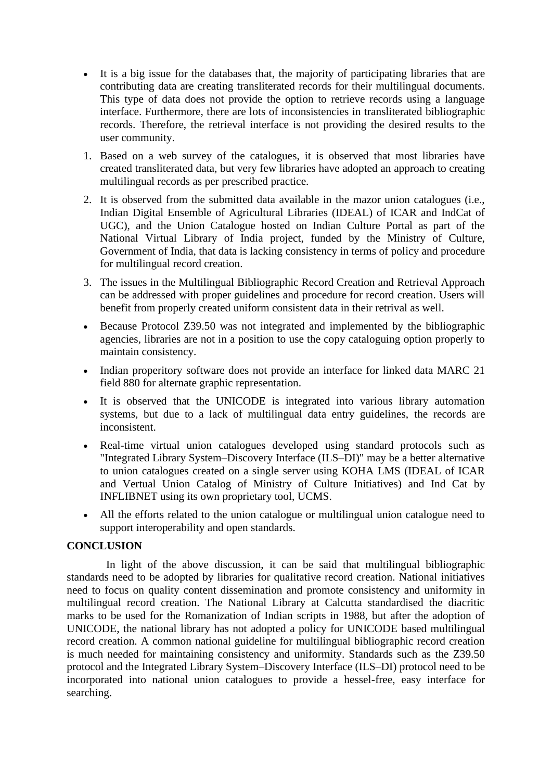- It is a big issue for the databases that, the majority of participating libraries that are contributing data are creating transliterated records for their multilingual documents. This type of data does not provide the option to retrieve records using a language interface. Furthermore, there are lots of inconsistencies in transliterated bibliographic records. Therefore, the retrieval interface is not providing the desired results to the user community.
- 1. Based on a web survey of the catalogues, it is observed that most libraries have created transliterated data, but very few libraries have adopted an approach to creating multilingual records as per prescribed practice.
- 2. It is observed from the submitted data available in the mazor union catalogues (i.e., Indian Digital Ensemble of Agricultural Libraries (IDEAL) of ICAR and IndCat of UGC), and the Union Catalogue hosted on Indian Culture Portal as part of the National Virtual Library of India project, funded by the Ministry of Culture, Government of India, that data is lacking consistency in terms of policy and procedure for multilingual record creation.
- 3. The issues in the Multilingual Bibliographic Record Creation and Retrieval Approach can be addressed with proper guidelines and procedure for record creation. Users will benefit from properly created uniform consistent data in their retrival as well.
- Because Protocol Z39.50 was not integrated and implemented by the bibliographic agencies, libraries are not in a position to use the copy cataloguing option properly to maintain consistency.
- Indian properitory software does not provide an interface for linked data MARC 21 field 880 for alternate graphic representation.
- It is observed that the UNICODE is integrated into various library automation systems, but due to a lack of multilingual data entry guidelines, the records are inconsistent.
- Real-time virtual union catalogues developed using standard protocols such as "Integrated Library System–Discovery Interface (ILS–DI)" may be a better alternative to union catalogues created on a single server using KOHA LMS (IDEAL of ICAR and Vertual Union Catalog of Ministry of Culture Initiatives) and Ind Cat by INFLIBNET using its own proprietary tool, UCMS.
- All the efforts related to the union catalogue or multilingual union catalogue need to support interoperability and open standards.

#### **CONCLUSION**

In light of the above discussion, it can be said that multilingual bibliographic standards need to be adopted by libraries for qualitative record creation. National initiatives need to focus on quality content dissemination and promote consistency and uniformity in multilingual record creation. The National Library at Calcutta standardised the diacritic marks to be used for the Romanization of Indian scripts in 1988, but after the adoption of UNICODE, the national library has not adopted a policy for UNICODE based multilingual record creation. A common national guideline for multilingual bibliographic record creation is much needed for maintaining consistency and uniformity. Standards such as the Z39.50 protocol and the Integrated Library System–Discovery Interface (ILS–DI) protocol need to be incorporated into national union catalogues to provide a hessel-free, easy interface for searching.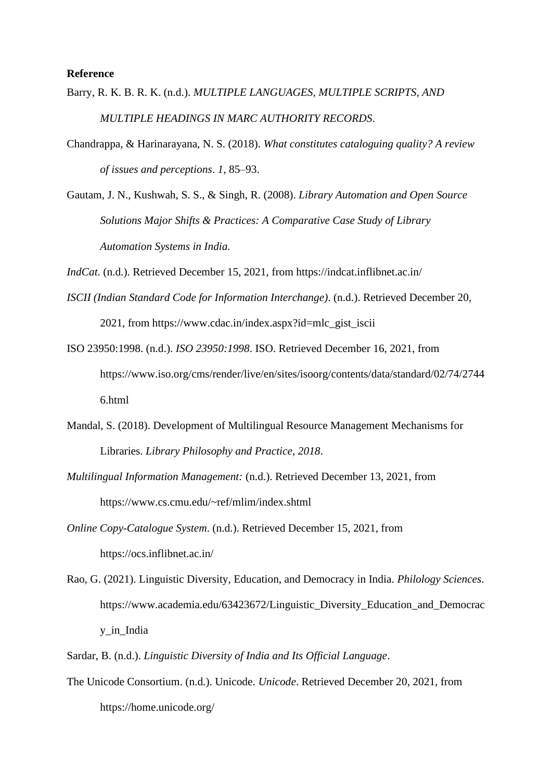#### **Reference**

- Barry, R. K. B. R. K. (n.d.). *MULTIPLE LANGUAGES, MULTIPLE SCRIPTS, AND MULTIPLE HEADINGS IN MARC AUTHORITY RECORDS*.
- Chandrappa, & Harinarayana, N. S. (2018). *What constitutes cataloguing quality? A review of issues and perceptions*. *1*, 85–93.
- Gautam, J. N., Kushwah, S. S., & Singh, R. (2008). *Library Automation and Open Source Solutions Major Shifts & Practices: A Comparative Case Study of Library Automation Systems in India.*
- *IndCat*. (n.d.). Retrieved December 15, 2021, from https://indcat.inflibnet.ac.in/
- *ISCII (Indian Standard Code for Information Interchange)*. (n.d.). Retrieved December 20, 2021, from https://www.cdac.in/index.aspx?id=mlc\_gist\_iscii
- ISO 23950:1998. (n.d.). *ISO 23950:1998*. ISO. Retrieved December 16, 2021, from https://www.iso.org/cms/render/live/en/sites/isoorg/contents/data/standard/02/74/2744 6.html
- Mandal, S. (2018). Development of Multilingual Resource Management Mechanisms for Libraries. *Library Philosophy and Practice*, *2018*.
- *Multilingual Information Management:* (n.d.). Retrieved December 13, 2021, from https://www.cs.cmu.edu/~ref/mlim/index.shtml
- *Online Copy-Catalogue System*. (n.d.). Retrieved December 15, 2021, from https://ocs.inflibnet.ac.in/
- Rao, G. (2021). Linguistic Diversity, Education, and Democracy in India. *Philology Sciences*. https://www.academia.edu/63423672/Linguistic\_Diversity\_Education\_and\_Democrac y\_in\_India
- Sardar, B. (n.d.). *Linguistic Diversity of India and Its Official Language*.
- The Unicode Consortium. (n.d.). Unicode. *Unicode*. Retrieved December 20, 2021, from https://home.unicode.org/